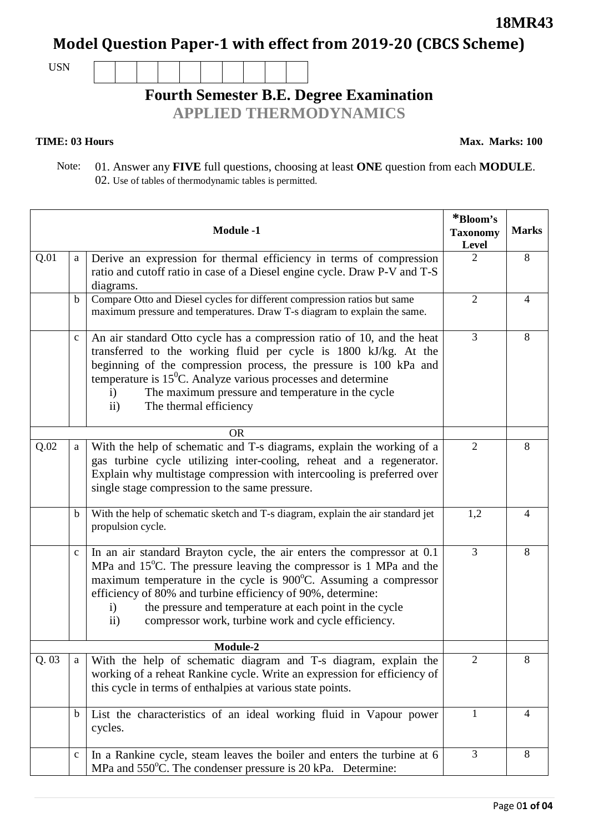Page 0**1 of 04**

### **18MR43**

**Model Question Paper-1 with effect from 2019-20 (CBCS Scheme)**

USN

# **Fourth Semester B.E. Degree Examination**

**APPLIED THERMODYNAMICS**

#### **TIME: 03 Hours**

**Max. Marks: 100**

 Note: 01. Answer any **FIVE** full questions, choosing at least **ONE** question from each **MODULE**. 02. Use of tables of thermodynamic tables is permitted.

|      |              | <b>Module -1</b>                                                                                                                                                                                                                                                                                                                                                                                                                   | *Bloom's<br><b>Taxonomy</b><br>Level | <b>Marks</b>   |
|------|--------------|------------------------------------------------------------------------------------------------------------------------------------------------------------------------------------------------------------------------------------------------------------------------------------------------------------------------------------------------------------------------------------------------------------------------------------|--------------------------------------|----------------|
| Q.01 | a            | Derive an expression for thermal efficiency in terms of compression<br>ratio and cutoff ratio in case of a Diesel engine cycle. Draw P-V and T-S<br>diagrams.                                                                                                                                                                                                                                                                      | $\overline{2}$                       | 8              |
|      | b            | Compare Otto and Diesel cycles for different compression ratios but same<br>maximum pressure and temperatures. Draw T-s diagram to explain the same.                                                                                                                                                                                                                                                                               | $\overline{2}$                       | 4              |
|      | $\mathbf C$  | An air standard Otto cycle has a compression ratio of 10, and the heat<br>transferred to the working fluid per cycle is 1800 kJ/kg. At the<br>beginning of the compression process, the pressure is 100 kPa and<br>temperature is $15^{\circ}$ C. Analyze various processes and determine<br>The maximum pressure and temperature in the cycle<br>$\mathbf{i}$<br>The thermal efficiency<br>$\mathbf{ii}$                          | 3                                    | 8              |
|      |              | <b>OR</b>                                                                                                                                                                                                                                                                                                                                                                                                                          |                                      |                |
| Q.02 | $\mathbf{a}$ | With the help of schematic and T-s diagrams, explain the working of a<br>gas turbine cycle utilizing inter-cooling, reheat and a regenerator.<br>Explain why multistage compression with intercooling is preferred over<br>single stage compression to the same pressure.                                                                                                                                                          | $\overline{2}$                       | 8              |
|      | $\mathbf b$  | With the help of schematic sketch and T-s diagram, explain the air standard jet<br>propulsion cycle.                                                                                                                                                                                                                                                                                                                               | 1,2                                  | $\overline{4}$ |
|      | $\mathbf C$  | In an air standard Brayton cycle, the air enters the compressor at 0.1<br>MPa and 15°C. The pressure leaving the compressor is 1 MPa and the<br>maximum temperature in the cycle is 900°C. Assuming a compressor<br>efficiency of 80% and turbine efficiency of 90%, determine:<br>the pressure and temperature at each point in the cycle<br>$\mathbf{i}$<br>compressor work, turbine work and cycle efficiency.<br>$\mathbf{ii}$ | $\overline{3}$                       | 8              |
|      |              | Module-2                                                                                                                                                                                                                                                                                                                                                                                                                           |                                      |                |
| Q.03 | a            | With the help of schematic diagram and T-s diagram, explain the<br>working of a reheat Rankine cycle. Write an expression for efficiency of<br>this cycle in terms of enthalpies at various state points.                                                                                                                                                                                                                          | $\overline{2}$                       | 8              |
|      | $\mathbf b$  | List the characteristics of an ideal working fluid in Vapour power<br>cycles.                                                                                                                                                                                                                                                                                                                                                      | $\mathbf{1}$                         | 4              |
|      | $\mathbf C$  | In a Rankine cycle, steam leaves the boiler and enters the turbine at 6<br>MPa and 550°C. The condenser pressure is 20 kPa. Determine:                                                                                                                                                                                                                                                                                             | 3                                    | 8              |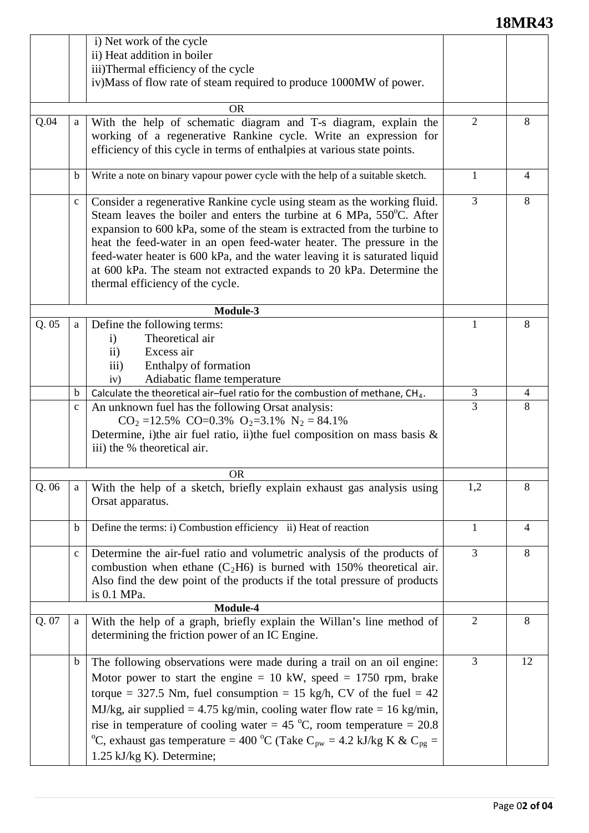# **18MR43**

|       |              | i) Net work of the cycle<br>ii) Heat addition in boiler<br>iii)Thermal efficiency of the cycle<br>iv)Mass of flow rate of steam required to produce 1000MW of power.                                                                                                                                                                                                                                                                                                                                   |                |                |
|-------|--------------|--------------------------------------------------------------------------------------------------------------------------------------------------------------------------------------------------------------------------------------------------------------------------------------------------------------------------------------------------------------------------------------------------------------------------------------------------------------------------------------------------------|----------------|----------------|
|       |              | <b>OR</b>                                                                                                                                                                                                                                                                                                                                                                                                                                                                                              |                |                |
| Q.04  | a            | With the help of schematic diagram and T-s diagram, explain the<br>working of a regenerative Rankine cycle. Write an expression for<br>efficiency of this cycle in terms of enthalpies at various state points.                                                                                                                                                                                                                                                                                        | $\overline{2}$ | 8              |
|       | $\mathbf b$  | Write a note on binary vapour power cycle with the help of a suitable sketch.                                                                                                                                                                                                                                                                                                                                                                                                                          | 1              | 4              |
|       | $\mathbf{C}$ | Consider a regenerative Rankine cycle using steam as the working fluid.<br>Steam leaves the boiler and enters the turbine at 6 MPa, 550°C. After<br>expansion to 600 kPa, some of the steam is extracted from the turbine to<br>heat the feed-water in an open feed-water heater. The pressure in the<br>feed-water heater is 600 kPa, and the water leaving it is saturated liquid<br>at 600 kPa. The steam not extracted expands to 20 kPa. Determine the<br>thermal efficiency of the cycle.        | $\overline{3}$ | 8              |
|       |              | Module-3                                                                                                                                                                                                                                                                                                                                                                                                                                                                                               |                |                |
| Q.05  | a            | Define the following terms:<br>Theoretical air<br>$\mathbf{i}$<br>Excess air<br>$\mathbf{ii}$<br>Enthalpy of formation<br>iii)<br>Adiabatic flame temperature<br>iv)                                                                                                                                                                                                                                                                                                                                   |                | 8              |
|       | $\mathbf b$  | Calculate the theoretical air-fuel ratio for the combustion of methane, CH <sub>4</sub> .                                                                                                                                                                                                                                                                                                                                                                                                              | 3              | $\overline{4}$ |
|       | $\mathbf c$  | An unknown fuel has the following Orsat analysis:<br>$CO_2 = 12.5\%$ $CO = 0.3\%$ $O_2 = 3.1\%$ $N_2 = 84.1\%$<br>Determine, i)the air fuel ratio, ii)the fuel composition on mass basis $\&$<br>iii) the % theoretical air.                                                                                                                                                                                                                                                                           | 3              | 8              |
|       |              | <b>OR</b>                                                                                                                                                                                                                                                                                                                                                                                                                                                                                              |                |                |
| Q.06  | a            | With the help of a sketch, briefly explain exhaust gas analysis using<br>Orsat apparatus.                                                                                                                                                                                                                                                                                                                                                                                                              | 1,2            | 8              |
|       | $\mathbf b$  | Define the terms: i) Combustion efficiency ii) Heat of reaction                                                                                                                                                                                                                                                                                                                                                                                                                                        | $\mathbf{1}$   | 4              |
|       | $\mathbf{C}$ | Determine the air-fuel ratio and volumetric analysis of the products of<br>combustion when ethane $(C_2H6)$ is burned with 150% theoretical air.<br>Also find the dew point of the products if the total pressure of products<br>is 0.1 MPa.                                                                                                                                                                                                                                                           | $\overline{3}$ | 8              |
|       |              | Module-4                                                                                                                                                                                                                                                                                                                                                                                                                                                                                               |                |                |
| Q. 07 | a            | With the help of a graph, briefly explain the Willan's line method of<br>determining the friction power of an IC Engine.                                                                                                                                                                                                                                                                                                                                                                               | $\overline{2}$ | 8              |
|       | $\mathbf b$  | The following observations were made during a trail on an oil engine:<br>Motor power to start the engine $= 10$ kW, speed $= 1750$ rpm, brake<br>torque = 327.5 Nm, fuel consumption = 15 kg/h, CV of the fuel = $42$<br>MJ/kg, air supplied = 4.75 kg/min, cooling water flow rate = 16 kg/min,<br>rise in temperature of cooling water = 45 °C, room temperature = 20.8<br>°C, exhaust gas temperature = 400 °C (Take C <sub>pw</sub> = 4.2 kJ/kg K & C <sub>pg</sub> =<br>1.25 kJ/kg K). Determine; | 3              | 12             |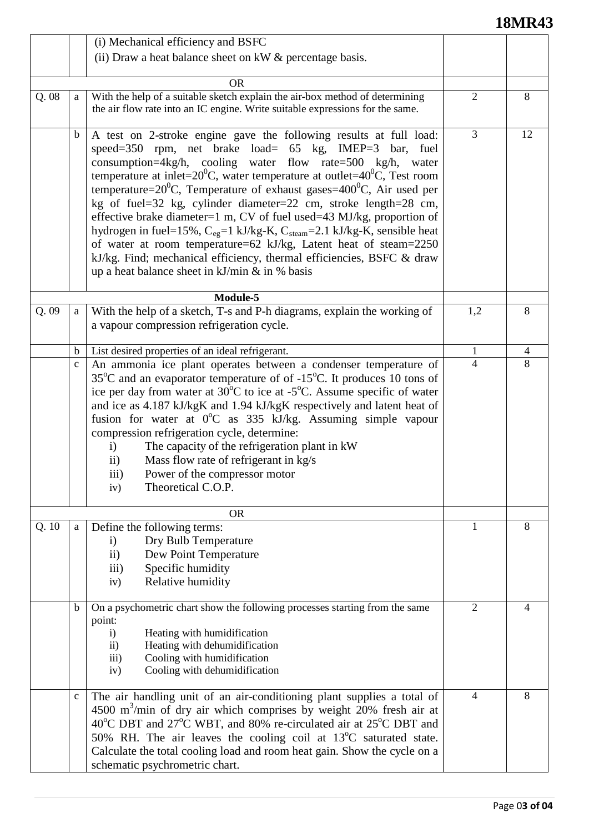# **18MR43**

|      |              | (i) Mechanical efficiency and BSFC                                                                                                                                                                                                                                                                                                                                                                                                                                                                                                                                                                                                                                                                                                                                                                  |                |    |
|------|--------------|-----------------------------------------------------------------------------------------------------------------------------------------------------------------------------------------------------------------------------------------------------------------------------------------------------------------------------------------------------------------------------------------------------------------------------------------------------------------------------------------------------------------------------------------------------------------------------------------------------------------------------------------------------------------------------------------------------------------------------------------------------------------------------------------------------|----------------|----|
|      |              | (ii) Draw a heat balance sheet on kW & percentage basis.                                                                                                                                                                                                                                                                                                                                                                                                                                                                                                                                                                                                                                                                                                                                            |                |    |
|      |              |                                                                                                                                                                                                                                                                                                                                                                                                                                                                                                                                                                                                                                                                                                                                                                                                     |                |    |
|      |              | <b>OR</b><br>With the help of a suitable sketch explain the air-box method of determining                                                                                                                                                                                                                                                                                                                                                                                                                                                                                                                                                                                                                                                                                                           | $\overline{2}$ | 8  |
| Q.08 | a            | the air flow rate into an IC engine. Write suitable expressions for the same.                                                                                                                                                                                                                                                                                                                                                                                                                                                                                                                                                                                                                                                                                                                       |                |    |
|      | b            | A test on 2-stroke engine gave the following results at full load:<br>speed=350 rpm, net brake load= 65 kg, IMEP=3 bar, fuel<br>consumption=4kg/h, cooling water flow rate=500 kg/h, water<br>temperature at inlet= $20^0$ C, water temperature at outlet= $40^0$ C, Test room<br>temperature= $20^0$ C, Temperature of exhaust gases= $400^0$ C, Air used per<br>kg of fuel=32 kg, cylinder diameter=22 cm, stroke length=28 cm,<br>effective brake diameter=1 m, CV of fuel used=43 MJ/kg, proportion of<br>hydrogen in fuel=15%, $C_{eg}$ =1 kJ/kg-K, $C_{steam}$ =2.1 kJ/kg-K, sensible heat<br>of water at room temperature=62 kJ/kg, Latent heat of steam=2250<br>kJ/kg. Find; mechanical efficiency, thermal efficiencies, BSFC & draw<br>up a heat balance sheet in $kJ/min \& in \%$ basis | 3              | 12 |
|      |              | Module-5                                                                                                                                                                                                                                                                                                                                                                                                                                                                                                                                                                                                                                                                                                                                                                                            |                |    |
| Q.09 | a            | With the help of a sketch, T-s and P-h diagrams, explain the working of<br>a vapour compression refrigeration cycle.                                                                                                                                                                                                                                                                                                                                                                                                                                                                                                                                                                                                                                                                                | 1,2            | 8  |
|      | $\mathbf b$  | List desired properties of an ideal refrigerant.                                                                                                                                                                                                                                                                                                                                                                                                                                                                                                                                                                                                                                                                                                                                                    | 1              | 4  |
|      | $\mathbf{C}$ | An ammonia ice plant operates between a condenser temperature of<br>$35^{\circ}$ C and an evaporator temperature of of -15 $^{\circ}$ C. It produces 10 tons of<br>ice per day from water at $30^{\circ}$ C to ice at -5 <sup>°</sup> C. Assume specific of water<br>and ice as 4.187 kJ/kgK and 1.94 kJ/kgK respectively and latent heat of<br>fusion for water at 0°C as 335 kJ/kg. Assuming simple vapour<br>compression refrigeration cycle, determine:<br>The capacity of the refrigeration plant in kW<br>$\mathbf{i}$<br>Mass flow rate of refrigerant in kg/s<br>$\rm ii)$<br>Power of the compressor motor<br>111)<br>Theoretical C.O.P.<br>iv)                                                                                                                                            | $\overline{4}$ | 8  |
|      |              | <b>OR</b>                                                                                                                                                                                                                                                                                                                                                                                                                                                                                                                                                                                                                                                                                                                                                                                           |                |    |
| Q.10 | a            | Define the following terms:<br>Dry Bulb Temperature<br>$\mathbf{i}$<br>Dew Point Temperature<br>$\rm ii)$<br>Specific humidity<br>$\overline{111}$<br>Relative humidity<br>iv)                                                                                                                                                                                                                                                                                                                                                                                                                                                                                                                                                                                                                      | 1              | 8  |
|      | b            | On a psychometric chart show the following processes starting from the same<br>point:<br>Heating with humidification<br>$\mathbf{i}$<br>Heating with dehumidification<br>$\rm ii)$<br>Cooling with humidification<br>$\overline{iii}$<br>Cooling with dehumidification<br>iv)                                                                                                                                                                                                                                                                                                                                                                                                                                                                                                                       | $\overline{2}$ | 4  |
|      | $\mathbf{C}$ | The air handling unit of an air-conditioning plant supplies a total of<br>4500 m <sup>3</sup> /min of dry air which comprises by weight 20% fresh air at<br>40 <sup>o</sup> C DBT and 27 <sup>o</sup> C WBT, and 80% re-circulated air at 25 <sup>o</sup> C DBT and<br>50% RH. The air leaves the cooling coil at 13°C saturated state.<br>Calculate the total cooling load and room heat gain. Show the cycle on a<br>schematic psychrometric chart.                                                                                                                                                                                                                                                                                                                                               | $\overline{4}$ | 8  |